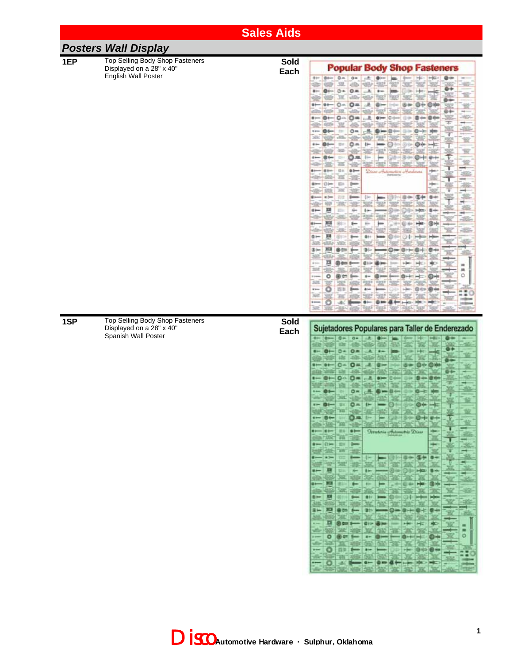|     |                                                                                    | <b>Sales Aids</b>   |                                                                                                                                                                                                                                                                                                                                                                                                                                                                                                                                                                                                                                                                                                                                                                                                                                                                                                                                                                                                                                                                                                                                            |
|-----|------------------------------------------------------------------------------------|---------------------|--------------------------------------------------------------------------------------------------------------------------------------------------------------------------------------------------------------------------------------------------------------------------------------------------------------------------------------------------------------------------------------------------------------------------------------------------------------------------------------------------------------------------------------------------------------------------------------------------------------------------------------------------------------------------------------------------------------------------------------------------------------------------------------------------------------------------------------------------------------------------------------------------------------------------------------------------------------------------------------------------------------------------------------------------------------------------------------------------------------------------------------------|
|     | <b>Posters Wall Display</b>                                                        |                     |                                                                                                                                                                                                                                                                                                                                                                                                                                                                                                                                                                                                                                                                                                                                                                                                                                                                                                                                                                                                                                                                                                                                            |
| 1EP | Top Selling Body Shop Fasteners<br>Displayed on a 28" x 40"<br>English Wall Poster | <b>Sold</b><br>Each | <b>Popular Body Shop Fasteners</b><br>$0 -$<br>$0 + -$<br>$0 -$<br>催知<br>Õ۰<br>$0 =$<br>图一<br>$\leftarrow$<br>$\Omega \triangleq$<br>$O =$<br>0<br>c<br>$0 - 100$<br>$O =$<br>র<br>$0 -$<br>0+-Hz<br>$+19-$<br>$0+-$<br>oж<br>$0+$<br>th so<br>0<br><b>@ Bran</b><br>"New createmetics Aradows:<br><b>Helen</b><br>01m<br>ЕIН<br><b>选件 图标 图中</b><br>耳<br>sie<br>$1 -$<br>H22 84<br>$0 -$<br>$3 -$<br>耳<br>ш<br>222<br>鷓<br>Ö<br>۰<br><b>Givin</b><br>100<br>$\cdots$<br>四日<br>◎中                                                                                                                                                                                                                                                                                                                                                                                                                                                                                                                                                                                                                                                           |
| 1SP | Top Selling Body Shop Fasteners<br>Displayed on a 28" x 40"<br>Spanish Wall Poster | <b>Sold</b><br>Each | SEE:<br>Sujetadores Populares para Taller de Enderezado<br>$1 - 0 - 0 -$<br>$0 -$<br>D-<br>$O =$<br>a.<br>$\frac{1}{2}$<br>$Q -$<br>$O =$<br>$\mathbf{O}$<br>$O =$<br>遇<br>$\bullet$<br>$O =$<br>$-$ 01 0 0 1 $-$<br>o<br>die auf wir wir und<br><b>OAL - - 50 30</b><br>$\frac{1}{2}$<br>$\mathbf{v}$<br>ether and with state and part of the<br>$+ - 1 + - 1 + 1 + 1 -$<br><b><i><u><b>Orrateria</b></u></i></b> artistanatriz <i>Disas</i><br>clay AVC 70 122<br>$- 0 - 10$<br>استبدا<br><b>SAN AN THE TAB</b><br>$-10$<br><b>- 0000000000</b><br>$\overline{}$<br><b>SHI</b><br>耳麻<br><b>AND LONG PART</b><br># 第1章 第1章<br><b>SCHEE</b><br>1- 1- (3/6 0)<br><b>MAGES</b> (Britis)<br>$\leftarrow$ $\blacksquare$<br>He @ H<br>25.120<br><b>AD AR SE SE</b><br>36<br>探索<br>$- 1$ $- 0$<br><b>6-10:1-10:00 00:00 00:00</b><br><b>AND WORK DEED HOTEL</b><br>3- 33 800 fm 30<br><b>SERGIFIED</b><br>DI @ 000 0-000   @ tir-<br><b>PART NEWS</b><br>i<br>$\blacksquare$<br>中國不能其<br>1995<br>п<br>$\circ$<br>$- 0$ 0 = $- 1$<br>$\Theta$ -<br>Mix 1989 The Light 1989 Falls<br>$-$ 0 ap $ -$<br><b>Service</b><br>1400<br>w<br>$- 0$<br>146 |

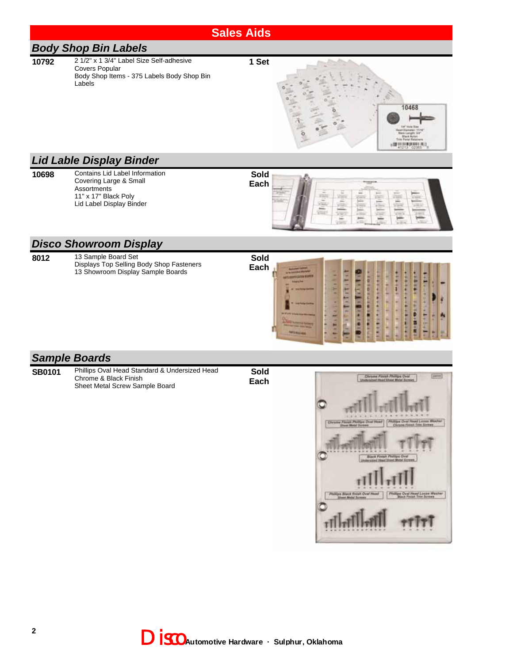#### **Sales Aids**

# *Body Shop Bin Labels*

- **10792** 2 1/2" x 1 3/4" Label Size Self-adhesive Covers Popular Labels
	- Body Shop Items 375 Labels Body Shop Bin

**1 Set**



#### *Lid Lable Display Binder*

- 
- **10698** Contains Lid Label Information Covering Large & Small **Assortments** 11" x 17" Black Poly Lid Label Display Binder





#### *Disco Showroom Display*

**Sold 8012** 13 Sample Board Set Displays Top Selling Body Shop Fasteners **Each** 13 Showroom Display Sample Boards **STARATIST** in the first l **BIFF** D Ī E Ē

### *Sample Boards*

- **SB0101** Phillips Oval Head Standard & Undersized Head Chrome & Black Finish Sheet Metal Screw Sample Board
- **Sold Each**

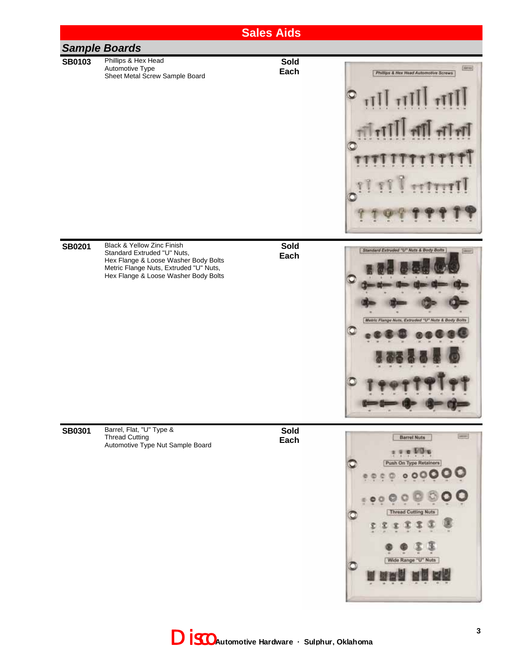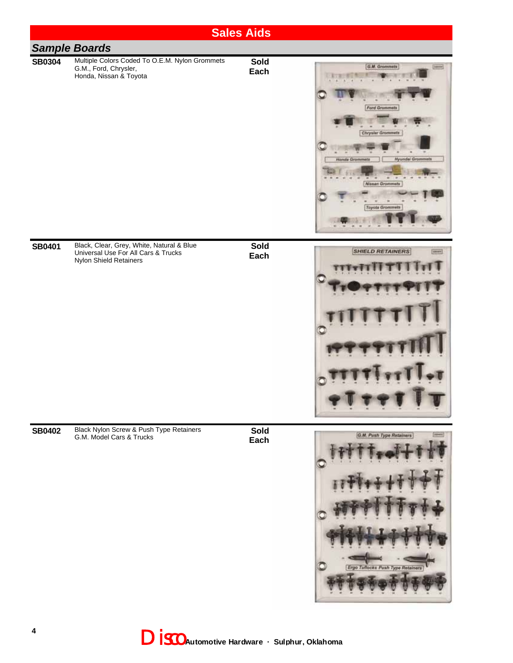|               |                                                                                                            | <b>Sales Aids</b>   |                                                                                                                                                                           |
|---------------|------------------------------------------------------------------------------------------------------------|---------------------|---------------------------------------------------------------------------------------------------------------------------------------------------------------------------|
|               | <b>Sample Boards</b>                                                                                       |                     |                                                                                                                                                                           |
| <b>SB0304</b> | Multiple Colors Coded To O.E.M. Nylon Grommets<br>G.M., Ford, Chrysler,<br>Honda, Nissan & Toyota          | Sold<br>Each        | G.M. Grommets<br><b>Ford Grommets</b><br><b>Chrysler Grommets</b><br><b>Honda Grommets</b><br><b>Hyundai Grommets</b><br><b>Nissan Grommets</b><br><b>Toyota Grommets</b> |
| <b>SB0401</b> | Black, Clear, Grey, White, Natural & Blue<br>Universal Use For All Cars & Trucks<br>Nylon Shield Retainers | <b>Sold</b><br>Each | <b>SHIELD RETAINERS</b><br><b>SIRGERS</b>                                                                                                                                 |
| <b>SB0402</b> | Black Nylon Screw & Push Type Retainers<br>G.M. Model Cars & Trucks                                        | Sold<br>Each        | G.M. Push Type Retainers<br>Ergo Tuflocks Push Type Retainers                                                                                                             |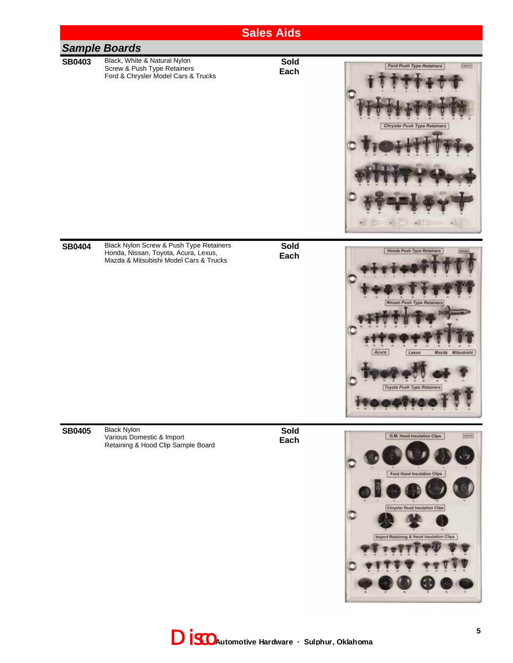

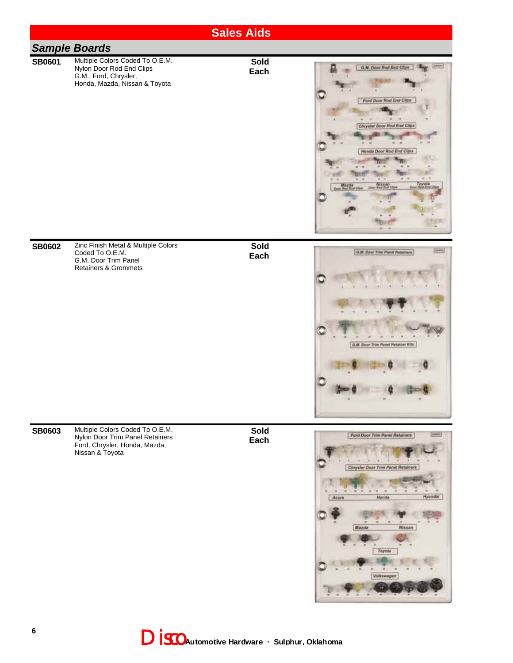|               |                                                                                                                        | <b>Sales Aids</b>   |                                                                                                                                                               |
|---------------|------------------------------------------------------------------------------------------------------------------------|---------------------|---------------------------------------------------------------------------------------------------------------------------------------------------------------|
|               | <b>Sample Boards</b>                                                                                                   |                     |                                                                                                                                                               |
| <b>SB0601</b> | Multiple Colors Coded To O.E.M.<br>Nylon Door Rod End Clips<br>G.M., Ford, Chrysler,<br>Honda, Mazda, Nissan & Toyota  | Sold<br>Each        | G.M. Door Rod End Clips<br>Ford Door Rod End Clips<br>Chrysler Door Rod End Clips<br>Honda Door Red End Clips<br>Ninaan <sub>c</sub>                          |
| <b>SB0602</b> | Zinc Finish Metal & Multiple Colors<br>Coded To O.E.M.<br>G.M. Door Trim Panel<br><b>Retainers &amp; Grommets</b>      | <b>Sold</b><br>Each | G.M. Door Trim Panel Retainers<br>G.M. Door Trim Panel Retainer Kits                                                                                          |
| <b>SB0603</b> | Multiple Colors Coded To O.E.M.<br>Nylon Door Trim Panel Retainers<br>Ford, Chrysler, Honda, Mazda,<br>Nissan & Toyota | <b>Sold</b><br>Each | Ford Door Trim Panel Retainers<br>200602<br>Chrysler Door Trim Panel Retainers<br><b>Hyundai</b><br>Honda<br>Acura<br>Marda<br>Nissan<br>Toyota<br>Volkswagen |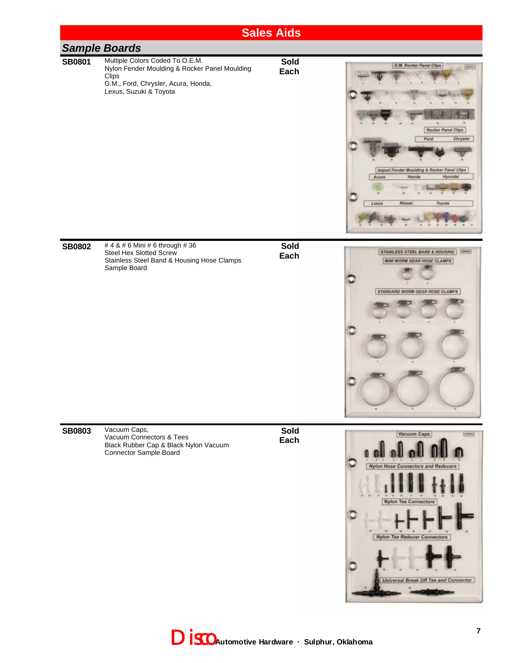

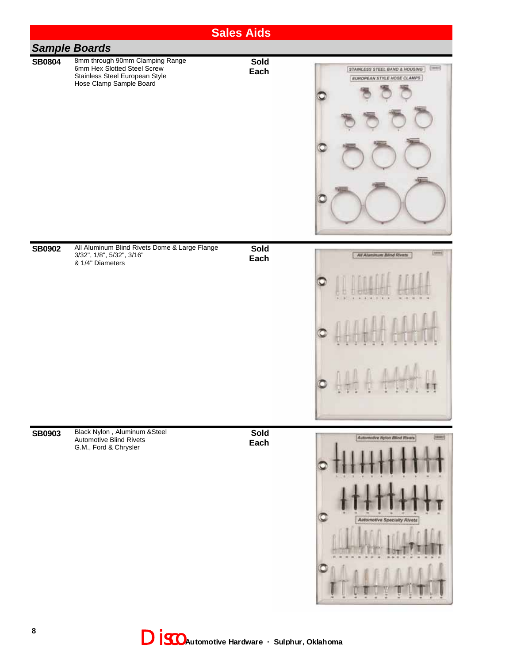|               |                                                                                                                                 | <b>Sales Aids</b> |                                                                           |
|---------------|---------------------------------------------------------------------------------------------------------------------------------|-------------------|---------------------------------------------------------------------------|
|               | <b>Sample Boards</b>                                                                                                            |                   |                                                                           |
| <b>SB0804</b> | 8mm through 90mm Clamping Range<br>6mm Hex Slotted Steel Screw<br>Stainless Steel European Style<br>Hose Clamp Sample Board     | Sold<br>Each      | [tibeler]<br>STAINLESS STEEL BAND & HOUSING<br>EUROPEAN STYLE HOSE CLAMPS |
|               |                                                                                                                                 |                   |                                                                           |
| <b>SB0902</b> | All Aluminum Blind Rivets Dome & Large Flange<br>3/32", 1/8", 5/32", 3/16"<br>& 1/4" Diameters<br>Black Nylon, Aluminum & Steel | Sold<br>Each      | <b>Edward</b><br>All Aluminum Blind Rivets                                |
| <b>SB0903</b> | Automotive Blind Rivets<br>G.M., Ford & Chrysler                                                                                | Sold<br>Each      | Automotive Nylon Blind Rivers<br>(sewer)<br>Automotive Specialty Rivets   |

Disco **Automotive Hardware · Sulphur, Oklahoma**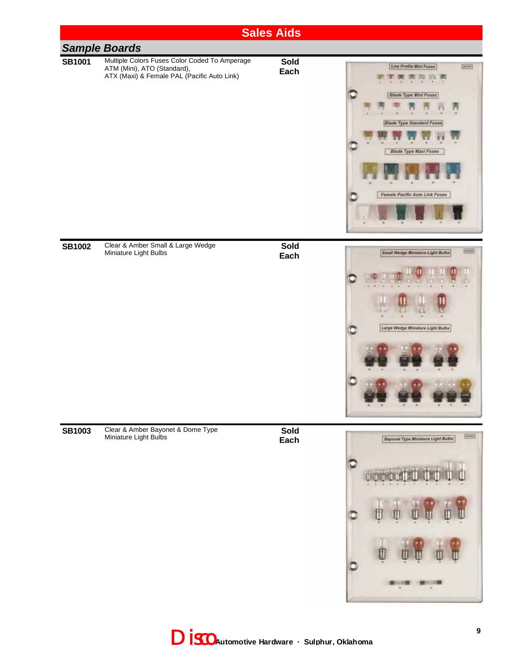

Disco **Automotive Hardware · Sulphur, Oklahoma**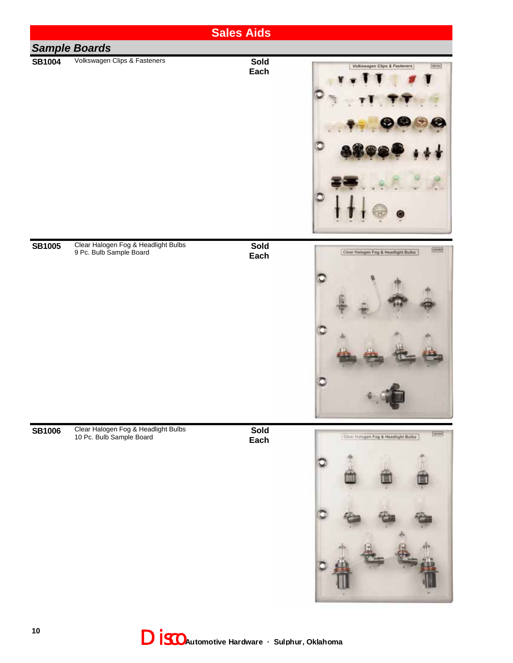|               |                                                                 | <b>Sales Aids</b>   |                                                       |
|---------------|-----------------------------------------------------------------|---------------------|-------------------------------------------------------|
|               | <b>Sample Boards</b>                                            |                     |                                                       |
| <b>SB1004</b> | Volkswagen Clips & Fasteners                                    | Sold<br>Each        | Volkswagen Cilgs & Fasteners<br><b>Urman</b><br>C     |
| <b>SB1005</b> | Clear Halogen Fog & Headlight Bulbs<br>9 Pc. Bulb Sample Board  | Sold<br>Each        | (ipoe)<br>Clear Halogen Fog & Headlight Butbs         |
| <b>SB1006</b> | Clear Halogen Fog & Headlight Bulbs<br>10 Pc. Bulb Sample Board | <b>Sold</b><br>Each | $\frac{1}{2}$<br>Client Hatogen Fog & Headlight Bulbs |

Disco **Automotive Hardware · Sulphur, Oklahoma**